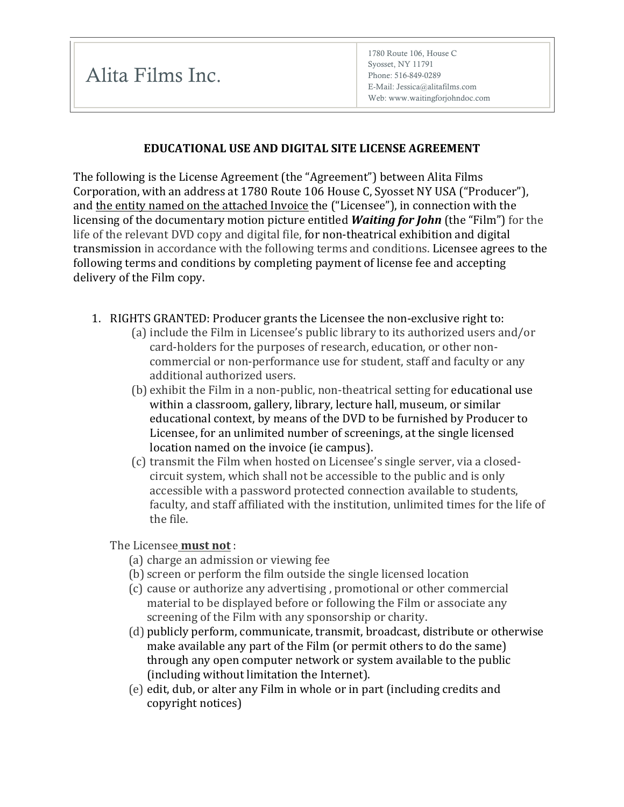## **EDUCATIONAL USE AND DIGITAL SITE LICENSE AGREEMENT**

The following is the License Agreement (the "Agreement") between Alita Films Corporation, with an address at 1780 Route 106 House C, Syosset NY USA ("Producer"), and the entity named on the attached Invoice the ("Licensee"), in connection with the licensing of the documentary motion picture entitled **Waiting for John** (the "Film") for the life of the relevant DVD copy and digital file, for non-theatrical exhibition and digital transmission in accordance with the following terms and conditions. Licensee agrees to the following terms and conditions by completing payment of license fee and accepting delivery of the Film copy.

- 1. RIGHTS GRANTED: Producer grants the Licensee the non-exclusive right to:
	- (a) include the Film in Licensee's public library to its authorized users and/or card-holders for the purposes of research, education, or other noncommercial or non-performance use for student, staff and faculty or any additional authorized users.
	- (b) exhibit the Film in a non-public, non-theatrical setting for educational use within a classroom, gallery, library, lecture hall, museum, or similar educational context, by means of the DVD to be furnished by Producer to Licensee, for an unlimited number of screenings, at the single licensed location named on the invoice (ie campus).
	- (c) transmit the Film when hosted on Licensee's single server, via a closedcircuit system, which shall not be accessible to the public and is only accessible with a password protected connection available to students, faculty, and staff affiliated with the institution, unlimited times for the life of the file.

The Licensee **must not**:

- (a) charge an admission or viewing fee
- (b) screen or perform the film outside the single licensed location
- (c) cause or authorize any advertising, promotional or other commercial material to be displayed before or following the Film or associate any screening of the Film with any sponsorship or charity.
- (d) publicly perform, communicate, transmit, broadcast, distribute or otherwise make available any part of the Film (or permit others to do the same) through any open computer network or system available to the public (including without limitation the Internet).
- (e) edit, dub, or alter any Film in whole or in part (including credits and copyright notices)